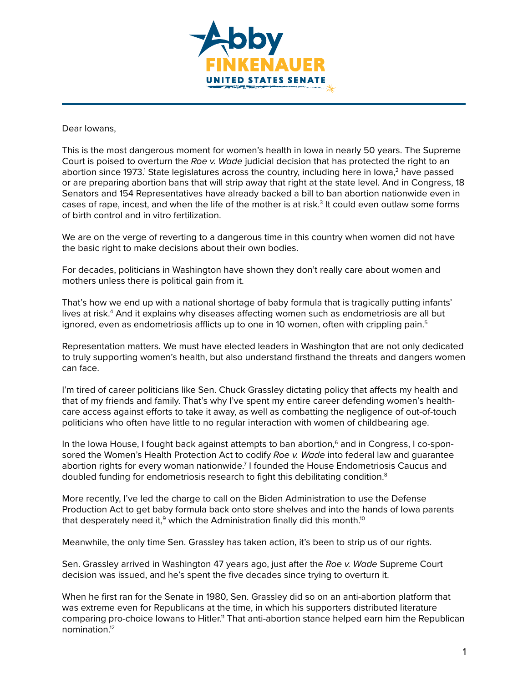

## Dear Iowans,

This is the most dangerous moment for women's health in Iowa in nearly 50 years. The Supreme Court is poised to overturn the *Roe v. Wade* judicial decision that has protected the right to an abortion since 1973. $^1$  State legislatures across the country, including here in Iowa, $^2$  have passed or are preparing abortion bans that will strip away that right at the state level. And in Congress, 18 Senators and 154 Representatives have already backed a bill to ban abortion nationwide even in cases of rape, incest, and when the life of the mother is at risk.<sup>3</sup> It could even outlaw some forms of birth control and in vitro fertilization.

We are on the verge of reverting to a dangerous time in this country when women did not have the basic right to make decisions about their own bodies.

For decades, politicians in Washington have shown they don't really care about women and mothers unless there is political gain from it.

That's how we end up with a national shortage of baby formula that is tragically putting infants' lives at risk.<sup>4</sup> And it explains why diseases affecting women such as endometriosis are all but ignored, even as endometriosis afflicts up to one in 10 women, often with crippling pain.<sup>5</sup>

Representation matters. We must have elected leaders in Washington that are not only dedicated to truly supporting women's health, but also understand firsthand the threats and dangers women can face.

I'm tired of career politicians like Sen. Chuck Grassley dictating policy that affects my health and that of my friends and family. That's why I've spent my entire career defending women's healthcare access against efforts to take it away, as well as combatting the negligence of out-of-touch politicians who often have little to no regular interaction with women of childbearing age.

In the Iowa House, I fought back against attempts to ban abortion,<sup>6</sup> and in Congress, I co-sponsored the Women's Health Protection Act to codify *Roe v. Wade* into federal law and guarantee abortion rights for every woman nationwide.<sup>7</sup> I founded the House Endometriosis Caucus and doubled funding for endometriosis research to fight this debilitating condition.8

More recently, I've led the charge to call on the Biden Administration to use the Defense Production Act to get baby formula back onto store shelves and into the hands of Iowa parents that desperately need it,<sup>9</sup> which the Administration finally did this month.<sup>10</sup>

Meanwhile, the only time Sen. Grassley has taken action, it's been to strip us of our rights.

Sen. Grassley arrived in Washington 47 years ago, just after the *Roe v. Wade* Supreme Court decision was issued, and he's spent the five decades since trying to overturn it.

When he first ran for the Senate in 1980, Sen. Grassley did so on an anti-abortion platform that was extreme even for Republicans at the time, in which his supporters distributed literature comparing pro-choice Iowans to Hitler.<sup>11</sup> That anti-abortion stance helped ear[n him](https://www.dropbox.com/s/fn35392vqtn157n/Sioux_City_Journal_Thu__Jun_5__1980_.pdf?dl=0) the Republican nomination.12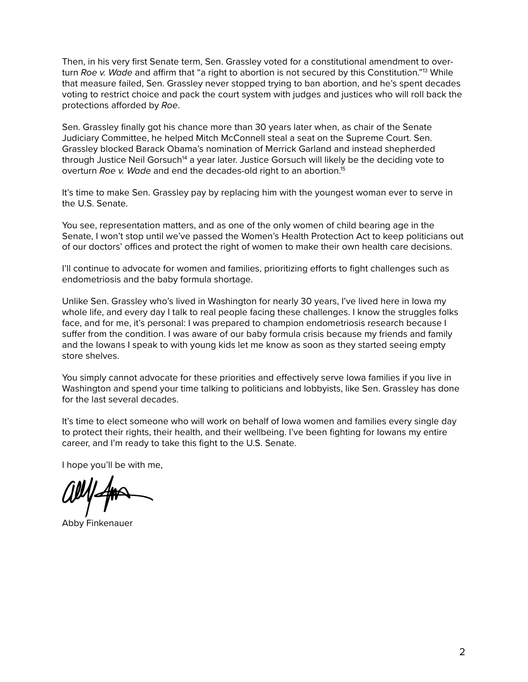Then, in his very first Senate term, Sen. Grassley voted for a constitutional amendment to overturn *Roe v. Wade* and affirm that "a right to abortion is not secured by this Constitution."13 While that measure failed, Sen. Grassley never stopped trying to ban abortion, and he's spent decades voting to restrict choice and pack the court system with judges and justices who will roll back the protections afforded by *Roe*.

Sen. Grassley finally got his chance more than 30 years later when, as chair of the Senate Judiciary Committee, he helped Mitch McConnell steal a seat on the Supreme Court. Sen. Grassley blocked Barack Obama's nomination of Merrick Garland and instead shepherded through Justice Neil Gorsuch<sup>14</sup> a year later. Justice Gorsuch will likely be the deciding vote to overturn *Roe v. Wade* and end the decades-old right to an abortion.15

It's time to make Sen. Grassley pay by replacing him with the youngest woman ever to serve in the U.S. Senate.

You see, representation matters, and as one of the only women of child bearing age in the Senate, I won't stop until we've passed the Women's Health Protection Act to keep politicians out of our doctors' offices and protect the right of women to make their own health care decisions.

I'll continue to advocate for women and families, prioritizing efforts to fight challenges such as endometriosis and the baby formula shortage.

Unlike Sen. Grassley who's lived in Washington for nearly 30 years, I've lived here in Iowa my whole life, and every day I talk to real people facing these challenges. I know the struggles folks face, and for me, it's personal: I was prepared to champion endometriosis research because I suffer from the condition. I was aware of our baby formula crisis because my friends and family and the Iowans I speak to with young kids let me know as soon as they started seeing empty store shelves.

You simply cannot advocate for these priorities and effectively serve Iowa families if you live in Washington and spend your time talking to politicians and lobbyists, like Sen. Grassley has done for the last several decades.

It's time to elect someone who will work on behalf of Iowa women and families every single day to protect their rights, their health, and their wellbeing. I've been fighting for Iowans my entire career, and I'm ready to take this fight to the U.S. Senate.

I hope you'll be with me,

Abby Finkenauer